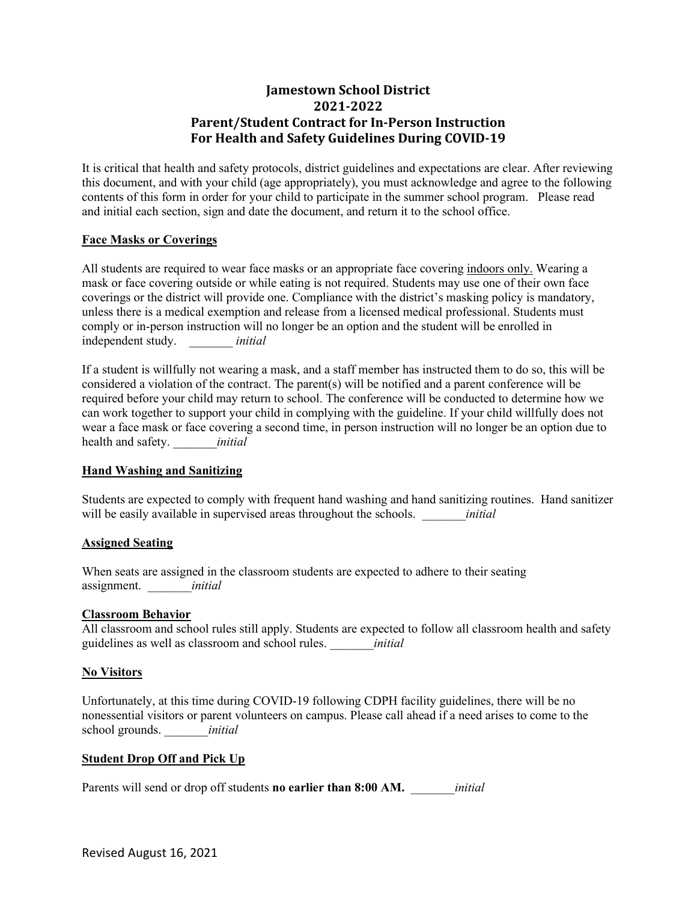# **Jamestown School District 2021-2022 Parent/Student Contract for In-Person Instruction For Health and Safety Guidelines During COVID-19**

It is critical that health and safety protocols, district guidelines and expectations are clear. After reviewing this document, and with your child (age appropriately), you must acknowledge and agree to the following contents of this form in order for your child to participate in the summer school program. Please read and initial each section, sign and date the document, and return it to the school office.

## **Face Masks or Coverings**

All students are required to wear face masks or an appropriate face covering indoors only. Wearing a mask or face covering outside or while eating is not required. Students may use one of their own face coverings or the district will provide one. Compliance with the district's masking policy is mandatory, unless there is a medical exemption and release from a licensed medical professional. Students must comply or in-person instruction will no longer be an option and the student will be enrolled in independent study. \_\_\_\_\_\_\_ *initial* 

If a student is willfully not wearing a mask, and a staff member has instructed them to do so, this will be considered a violation of the contract. The parent(s) will be notified and a parent conference will be required before your child may return to school. The conference will be conducted to determine how we can work together to support your child in complying with the guideline. If your child willfully does not wear a face mask or face covering a second time, in person instruction will no longer be an option due to health and safety. \_\_\_\_\_\_\_*initial* 

## **Hand Washing and Sanitizing**

Students are expected to comply with frequent hand washing and hand sanitizing routines. Hand sanitizer will be easily available in supervised areas throughout the schools. *initial* 

## **Assigned Seating**

When seats are assigned in the classroom students are expected to adhere to their seating assignment. \_\_\_\_\_\_\_*initial*

## **Classroom Behavior**

All classroom and school rules still apply. Students are expected to follow all classroom health and safety guidelines as well as classroom and school rules. \_\_\_\_\_\_\_*initial*

## **No Visitors**

Unfortunately, at this time during COVID-19 following CDPH facility guidelines, there will be no nonessential visitors or parent volunteers on campus. Please call ahead if a need arises to come to the school grounds. \_\_\_\_\_\_\_*initial*

## **Student Drop Off and Pick Up**

Parents will send or drop off students **no earlier than 8:00 AM.** *initial*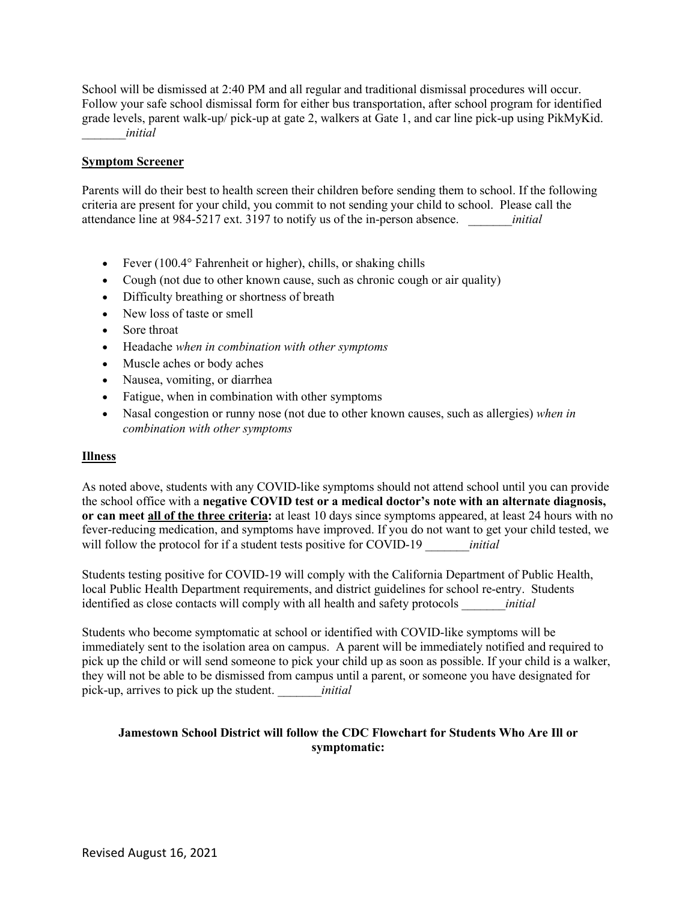School will be dismissed at 2:40 PM and all regular and traditional dismissal procedures will occur. Follow your safe school dismissal form for either bus transportation, after school program for identified grade levels, parent walk-up/ pick-up at gate 2, walkers at Gate 1, and car line pick-up using PikMyKid. \_\_\_\_\_\_\_*initial*

#### **Symptom Screener**

Parents will do their best to health screen their children before sending them to school. If the following criteria are present for your child, you commit to not sending your child to school. Please call the attendance line at 984-5217 ext. 3197 to notify us of the in-person absence. \_\_\_\_\_\_\_*initial*

- Fever (100.4° Fahrenheit or higher), chills, or shaking chills
- Cough (not due to other known cause, such as chronic cough or air quality)
- Difficulty breathing or shortness of breath
- New loss of taste or smell
- Sore throat
- Headache *when in combination with other symptoms*
- Muscle aches or body aches
- Nausea, vomiting, or diarrhea
- Fatigue, when in combination with other symptoms
- Nasal congestion or runny nose (not due to other known causes, such as allergies) *when in combination with other symptoms*

#### **Illness**

As noted above, students with any COVID-like symptoms should not attend school until you can provide the school office with a **negative COVID test or a medical doctor's note with an alternate diagnosis, or can meet all of the three criteria:** at least 10 days since symptoms appeared, at least 24 hours with no fever-reducing medication, and symptoms have improved. If you do not want to get your child tested, we will follow the protocol for if a student tests positive for COVID-19 *initial* 

Students testing positive for COVID-19 will comply with the California Department of Public Health, local Public Health Department requirements, and district guidelines for school re-entry. Students identified as close contacts will comply with all health and safety protocols \_\_\_\_\_\_\_*initial*

Students who become symptomatic at school or identified with COVID-like symptoms will be immediately sent to the isolation area on campus. A parent will be immediately notified and required to pick up the child or will send someone to pick your child up as soon as possible. If your child is a walker, they will not be able to be dismissed from campus until a parent, or someone you have designated for pick-up, arrives to pick up the student. \_\_\_\_\_\_\_*initial*

## **Jamestown School District will follow the CDC Flowchart for Students Who Are Ill or symptomatic:**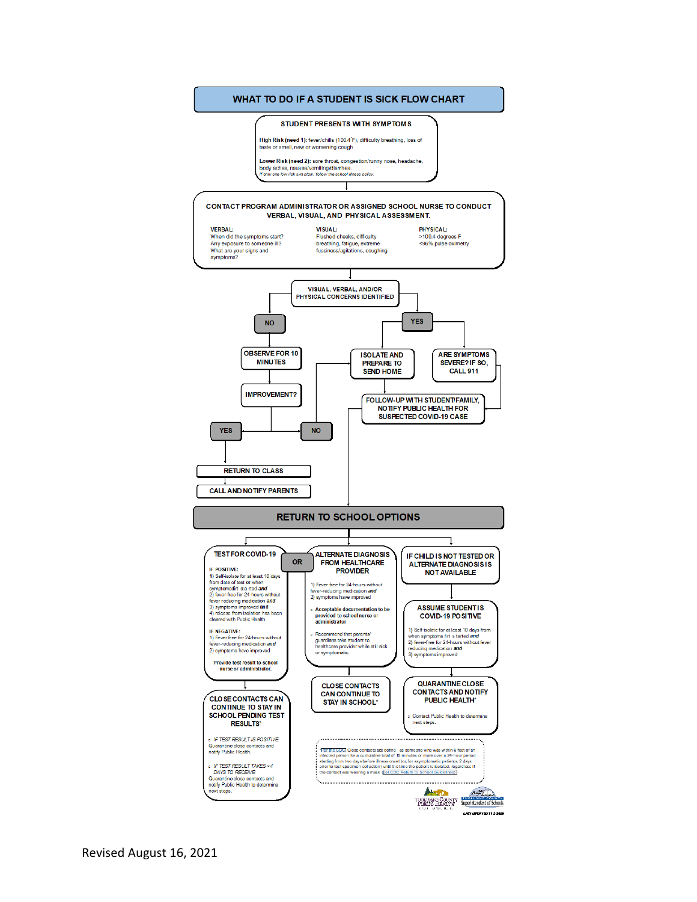